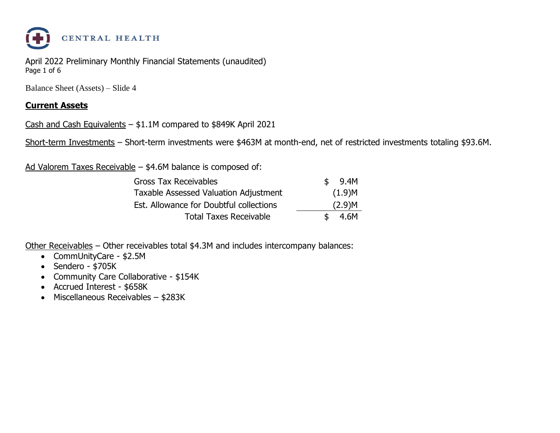

April 2022 Preliminary Monthly Financial Statements (unaudited) Page 1 of 6

Balance Sheet (Assets) – Slide 4

#### **Current Assets**

Cash and Cash Equivalents – \$1.1M compared to \$849K April 2021

Short-term Investments – Short-term investments were \$463M at month-end, net of restricted investments totaling \$93.6M.

Ad Valorem Taxes Receivable – \$4.6M balance is composed of:

| <b>Gross Tax Receivables</b>            | \$. | 9.4M   |
|-----------------------------------------|-----|--------|
| Taxable Assessed Valuation Adjustment   |     | (1.9)M |
| Est. Allowance for Doubtful collections |     | (2.9)M |
| <b>Total Taxes Receivable</b>           |     | 4.6M   |

Other Receivables – Other receivables total \$4.3M and includes intercompany balances:

- CommUnityCare \$2.5M
- Sendero \$705K
- Community Care Collaborative \$154K
- Accrued Interest \$658K
- Miscellaneous Receivables \$283K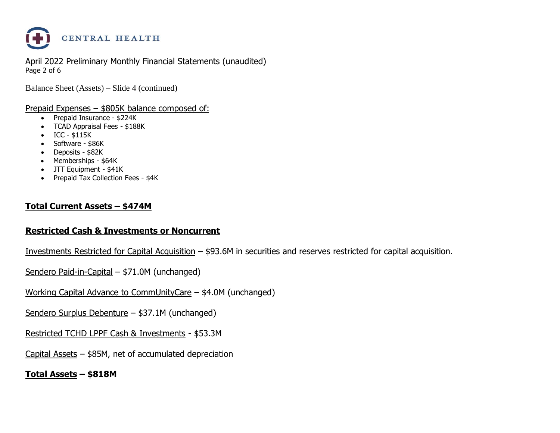

April 2022 Preliminary Monthly Financial Statements (unaudited) Page 2 of 6

Balance Sheet (Assets) – Slide 4 (continued)

Prepaid Expenses – \$805K balance composed of:

- Prepaid Insurance \$224K
- TCAD Appraisal Fees \$188K
- ICC \$115K
- Software \$86K
- Deposits \$82K
- Memberships \$64K
- JTT Equipment \$41K
- Prepaid Tax Collection Fees \$4K

#### **Total Current Assets – \$474M**

#### **Restricted Cash & Investments or Noncurrent**

Investments Restricted for Capital Acquisition – \$93.6M in securities and reserves restricted for capital acquisition.

Sendero Paid-in-Capital – \$71.0M (unchanged)

Working Capital Advance to CommUnityCare – \$4.0M (unchanged)

Sendero Surplus Debenture – \$37.1M (unchanged)

Restricted TCHD LPPF Cash & Investments - \$53.3M

Capital Assets – \$85M, net of accumulated depreciation

**Total Assets – \$818M**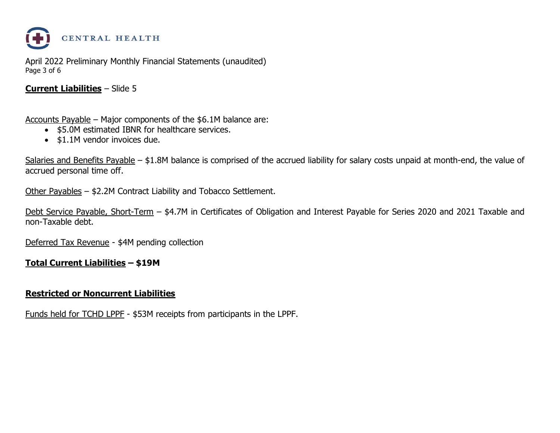

April 2022 Preliminary Monthly Financial Statements (unaudited) Page 3 of 6

#### **Current Liabilities** – Slide 5

Accounts Payable – Major components of the \$6.1M balance are:

- \$5.0M estimated IBNR for healthcare services.
- \$1.1M vendor invoices due.

Salaries and Benefits Payable – \$1.8M balance is comprised of the accrued liability for salary costs unpaid at month-end, the value of accrued personal time off.

Other Payables – \$2.2M Contract Liability and Tobacco Settlement.

Debt Service Payable, Short-Term – \$4.7M in Certificates of Obligation and Interest Payable for Series 2020 and 2021 Taxable and non-Taxable debt.

Deferred Tax Revenue - \$4M pending collection

#### **Total Current Liabilities – \$19M**

#### **Restricted or Noncurrent Liabilities**

Funds held for TCHD LPPF - \$53M receipts from participants in the LPPF.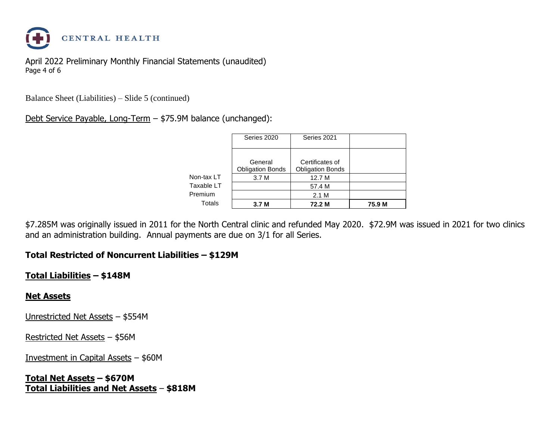

April 2022 Preliminary Monthly Financial Statements (unaudited) Page 4 of 6

Balance Sheet (Liabilities) – Slide 5 (continued)

Debt Service Payable, Long-Term – \$75.9M balance (unchanged):

|            | Series 2020                      | Series 2021                       |        |
|------------|----------------------------------|-----------------------------------|--------|
|            | General                          | Certificates of                   |        |
| Non-tax LT | <b>Obligation Bonds</b><br>3.7 M | <b>Obligation Bonds</b><br>12.7 M |        |
| Taxable LT |                                  | 57.4 M                            |        |
| Premium    |                                  | 2.1 M                             |        |
| Totals     | 3.7 <sub>M</sub>                 | 72.2 M                            | 75.9 M |

\$7.285M was originally issued in 2011 for the North Central clinic and refunded May 2020. \$72.9M was issued in 2021 for two clinics and an administration building. Annual payments are due on 3/1 for all Series.

#### **Total Restricted of Noncurrent Liabilities – \$129M**

#### **Total Liabilities – \$148M**

#### **Net Assets**

Unrestricted Net Assets – \$554M

Restricted Net Assets – \$56M

Investment in Capital Assets – \$60M

**Total Net Assets – \$670M Total Liabilities and Net Assets** – **\$818M**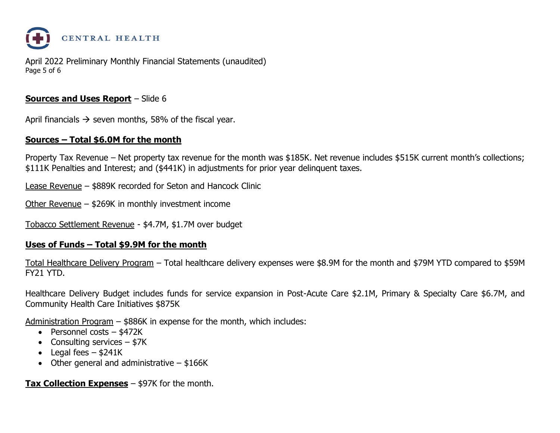

April 2022 Preliminary Monthly Financial Statements (unaudited) Page 5 of 6

#### **Sources and Uses Report** – Slide 6

April financials  $\rightarrow$  seven months, 58% of the fiscal year.

#### **Sources – Total \$6.0M for the month**

Property Tax Revenue – Net property tax revenue for the month was \$185K. Net revenue includes \$515K current month's collections; \$111K Penalties and Interest; and (\$441K) in adjustments for prior year delinquent taxes.

Lease Revenue – \$889K recorded for Seton and Hancock Clinic

Other Revenue – \$269K in monthly investment income

Tobacco Settlement Revenue - \$4.7M, \$1.7M over budget

#### **Uses of Funds – Total \$9.9M for the month**

Total Healthcare Delivery Program – Total healthcare delivery expenses were \$8.9M for the month and \$79M YTD compared to \$59M FY21 YTD.

Healthcare Delivery Budget includes funds for service expansion in Post-Acute Care \$2.1M, Primary & Specialty Care \$6.7M, and Community Health Care Initiatives \$875K

Administration Program – \$886K in expense for the month, which includes:

- Personnel costs \$472K
- Consulting services  $-$  \$7K
- Legal fees  $-$  \$241K
- Other general and administrative  $-$  \$166K

**Tax Collection Expenses** – \$97K for the month.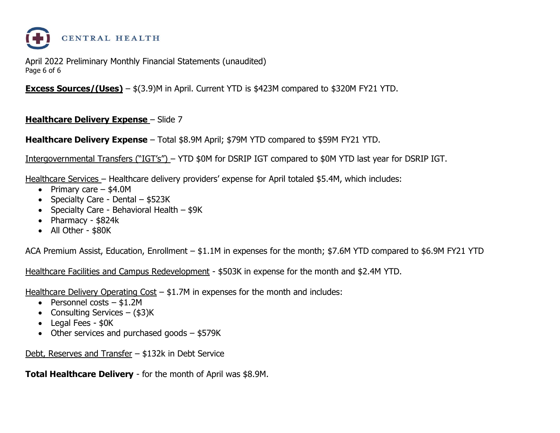

April 2022 Preliminary Monthly Financial Statements (unaudited) Page 6 of 6

**Excess Sources/(Uses)** – \$(3.9)M in April. Current YTD is \$423M compared to \$320M FY21 YTD.

#### **Healthcare Delivery Expense** – Slide 7

**Healthcare Delivery Expense** – Total \$8.9M April; \$79M YTD compared to \$59M FY21 YTD.

Intergovernmental Transfers ("IGT's") – YTD \$0M for DSRIP IGT compared to \$0M YTD last year for DSRIP IGT.

Healthcare Services – Healthcare delivery providers' expense for April totaled \$5.4M, which includes:

- Primary care \$4.0M
- Specialty Care Dental \$523K
- Specialty Care Behavioral Health \$9K
- Pharmacy \$824k
- All Other \$80K

ACA Premium Assist, Education, Enrollment – \$1.1M in expenses for the month; \$7.6M YTD compared to \$6.9M FY21 YTD

Healthcare Facilities and Campus Redevelopment - \$503K in expense for the month and \$2.4M YTD.

Healthcare Delivery Operating Cost – \$1.7M in expenses for the month and includes:

- Personnel costs \$1.2M
- Consulting Services  $(\$3)K$
- Legal Fees \$0K
- Other services and purchased goods \$579K

Debt, Reserves and Transfer – \$132k in Debt Service

**Total Healthcare Delivery** - for the month of April was \$8.9M.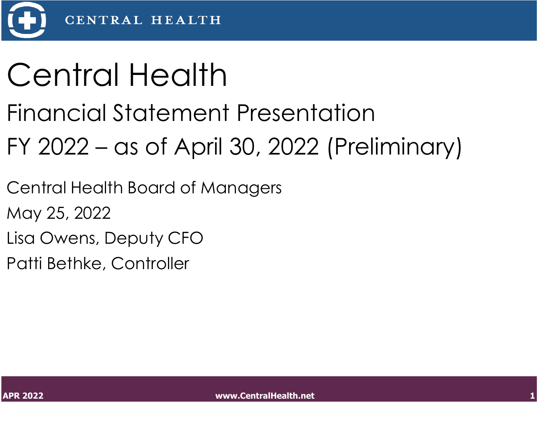

## Central Health

### Financial Statement Presentation

## FY 2022 – as of April 30, 2022 (Preliminary)

Central Health Board of Managers

May 25, 2022

Lisa Owens, Deputy CFO

Patti Bethke, Controller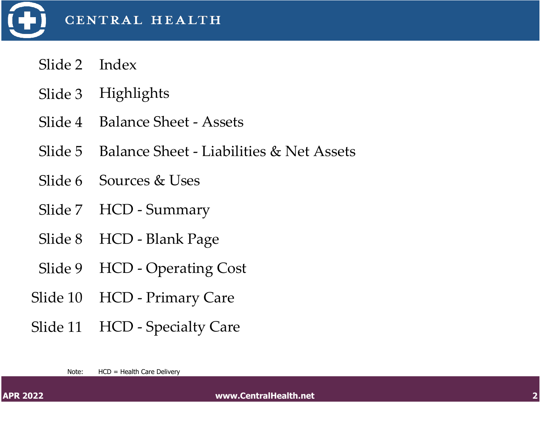

- Slide 2 Index
- Slide 3 Highlights
- Slide 4 Balance Sheet Assets
- Slide 5 Balance Sheet Liabilities & Net Assets
- Slide 6 Sources & Uses
- Slide 7 HCD Summary
- Slide 8 HCD Blank Page
- Slide 9 HCD Operating Cost
- Slide 10 HCD Primary Care
- Slide 11 HCD Specialty Care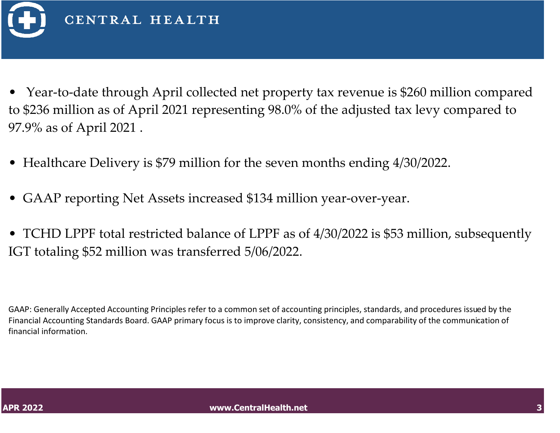

- Year-to-date through April collected net property tax revenue is \$260 million compared to \$236 million as of April 2021 representing 98.0% of the adjusted tax levy compared to 97.9% as of April 2021 .
- Healthcare Delivery is \$79 million for the seven months ending 4/30/2022.
- GAAP reporting Net Assets increased \$134 million year-over-year.
- TCHD LPPF total restricted balance of LPPF as of 4/30/2022 is \$53 million, subsequently IGT totaling \$52 million was transferred 5/06/2022.

GAAP: Generally Accepted Accounting Principles refer to a common set of accounting principles, standards, and procedures issued by the Financial Accounting Standards Board. GAAP primary focus is to improve clarity, consistency, and comparability of the communication of financial information.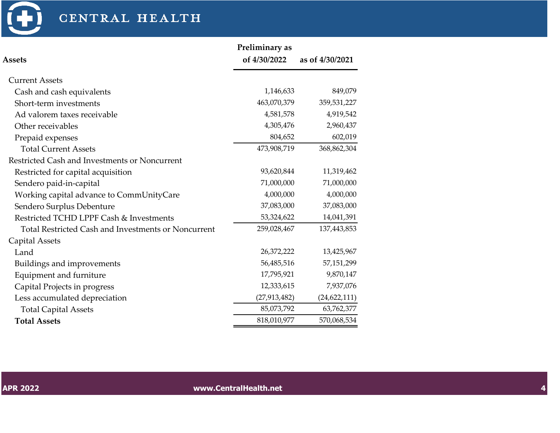

### CENTRAL HEALTH

|                                                     | Preliminary as |                 |
|-----------------------------------------------------|----------------|-----------------|
| <b>Assets</b>                                       | of 4/30/2022   | as of 4/30/2021 |
| <b>Current Assets</b>                               |                |                 |
| Cash and cash equivalents                           | 1,146,633      | 849,079         |
| Short-term investments                              | 463,070,379    | 359,531,227     |
| Ad valorem taxes receivable                         | 4,581,578      | 4,919,542       |
| Other receivables                                   | 4,305,476      | 2,960,437       |
| Prepaid expenses                                    | 804,652        | 602,019         |
| <b>Total Current Assets</b>                         | 473,908,719    | 368,862,304     |
| Restricted Cash and Investments or Noncurrent       |                |                 |
| Restricted for capital acquisition                  | 93,620,844     | 11,319,462      |
| Sendero paid-in-capital                             | 71,000,000     | 71,000,000      |
| Working capital advance to CommUnityCare            | 4,000,000      | 4,000,000       |
| Sendero Surplus Debenture                           | 37,083,000     | 37,083,000      |
| Restricted TCHD LPPF Cash & Investments             | 53,324,622     | 14,041,391      |
| Total Restricted Cash and Investments or Noncurrent | 259,028,467    | 137,443,853     |
| <b>Capital Assets</b>                               |                |                 |
| Land                                                | 26,372,222     | 13,425,967      |
| Buildings and improvements                          | 56,485,516     | 57,151,299      |
| Equipment and furniture                             | 17,795,921     | 9,870,147       |
| Capital Projects in progress                        | 12,333,615     | 7,937,076       |
| Less accumulated depreciation                       | (27, 913, 482) | (24, 622, 111)  |
| <b>Total Capital Assets</b>                         | 85,073,792     | 63,762,377      |
| <b>Total Assets</b>                                 | 818,010,977    | 570,068,534     |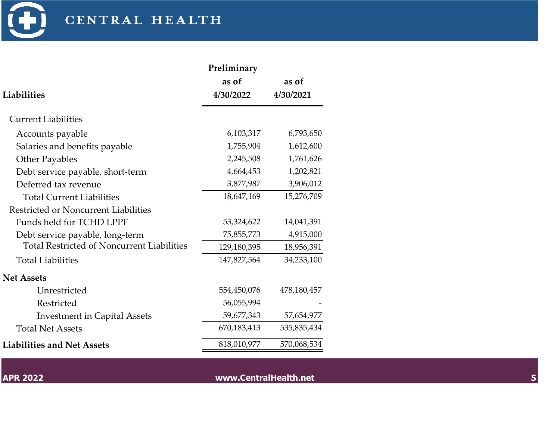

|                                                   | Preliminary |             |
|---------------------------------------------------|-------------|-------------|
|                                                   | as of       | as of       |
| <b>Liabilities</b>                                | 4/30/2022   | 4/30/2021   |
| <b>Current Liabilities</b>                        |             |             |
| Accounts payable                                  | 6,103,317   | 6,793,650   |
| Salaries and benefits payable                     | 1,755,904   | 1,612,600   |
| <b>Other Payables</b>                             | 2,245,508   | 1,761,626   |
| Debt service payable, short-term                  | 4,664,453   | 1,202,821   |
| Deferred tax revenue                              | 3,877,987   | 3,906,012   |
| <b>Total Current Liabilities</b>                  | 18,647,169  | 15,276,709  |
| Restricted or Noncurrent Liabilities              |             |             |
| Funds held for TCHD LPPF                          | 53,324,622  | 14,041,391  |
| Debt service payable, long-term                   | 75,855,773  | 4,915,000   |
| <b>Total Restricted of Noncurrent Liabilities</b> | 129,180,395 | 18,956,391  |
| <b>Total Liabilities</b>                          | 147,827,564 | 34,233,100  |
| <b>Net Assets</b>                                 |             |             |
| Unrestricted                                      | 554,450,076 | 478,180,457 |
| Restricted                                        | 56,055,994  |             |
| <b>Investment in Capital Assets</b>               | 59,677,343  | 57,654,977  |
| <b>Total Net Assets</b>                           | 670,183,413 | 535,835,434 |
| <b>Liabilities and Net Assets</b>                 | 818,010,977 | 570,068,534 |

**APR 2022 www.CentralHealth.net 5**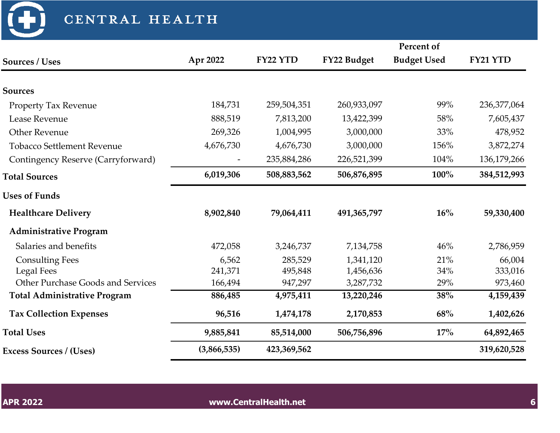CENTRAL HEALTH

|                                          |             |             |             | Percent of         |             |
|------------------------------------------|-------------|-------------|-------------|--------------------|-------------|
| Sources / Uses                           | Apr 2022    | FY22 YTD    | FY22 Budget | <b>Budget Used</b> | FY21 YTD    |
| <b>Sources</b>                           |             |             |             |                    |             |
| <b>Property Tax Revenue</b>              | 184,731     | 259,504,351 | 260,933,097 | 99%                | 236,377,064 |
| Lease Revenue                            | 888,519     | 7,813,200   | 13,422,399  | 58%                | 7,605,437   |
| <b>Other Revenue</b>                     | 269,326     | 1,004,995   | 3,000,000   | 33%                | 478,952     |
| <b>Tobacco Settlement Revenue</b>        | 4,676,730   | 4,676,730   | 3,000,000   | 156%               | 3,872,274   |
| Contingency Reserve (Carryforward)       |             | 235,884,286 | 226,521,399 | 104%               | 136,179,266 |
| <b>Total Sources</b>                     | 6,019,306   | 508,883,562 | 506,876,895 | 100%               | 384,512,993 |
| <b>Uses of Funds</b>                     |             |             |             |                    |             |
| <b>Healthcare Delivery</b>               | 8,902,840   | 79,064,411  | 491,365,797 | 16%                | 59,330,400  |
| <b>Administrative Program</b>            |             |             |             |                    |             |
| Salaries and benefits                    | 472,058     | 3,246,737   | 7,134,758   | 46%                | 2,786,959   |
| <b>Consulting Fees</b>                   | 6,562       | 285,529     | 1,341,120   | 21%                | 66,004      |
| <b>Legal Fees</b>                        | 241,371     | 495,848     | 1,456,636   | 34%                | 333,016     |
| <b>Other Purchase Goods and Services</b> | 166,494     | 947,297     | 3,287,732   | 29%                | 973,460     |
| <b>Total Administrative Program</b>      | 886,485     | 4,975,411   | 13,220,246  | 38%                | 4,159,439   |
| <b>Tax Collection Expenses</b>           | 96,516      | 1,474,178   | 2,170,853   | 68%                | 1,402,626   |
| <b>Total Uses</b>                        | 9,885,841   | 85,514,000  | 506,756,896 | 17%                | 64,892,465  |
| <b>Excess Sources / (Uses)</b>           | (3,866,535) | 423,369,562 |             |                    | 319,620,528 |

 $\bigoplus$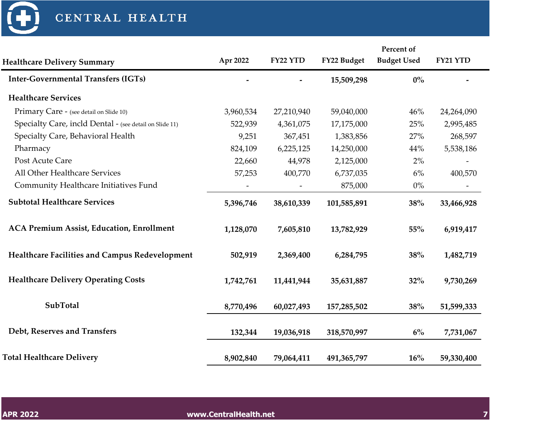

|                                                         |           |            |               | Percent of         |            |  |
|---------------------------------------------------------|-----------|------------|---------------|--------------------|------------|--|
| <b>Healthcare Delivery Summary</b>                      | Apr 2022  | FY22 YTD   | FY22 Budget   | <b>Budget Used</b> | FY21 YTD   |  |
| <b>Inter-Governmental Transfers (IGTs)</b>              |           |            | 15,509,298    | $0\%$              |            |  |
| <b>Healthcare Services</b>                              |           |            |               |                    |            |  |
| Primary Care - (see detail on Slide 10)                 | 3,960,534 | 27,210,940 | 59,040,000    | 46%                | 24,264,090 |  |
| Specialty Care, incld Dental - (see detail on Slide 11) | 522,939   | 4,361,075  | 17,175,000    | 25%                | 2,995,485  |  |
| Specialty Care, Behavioral Health                       | 9,251     | 367,451    | 1,383,856     | 27%                | 268,597    |  |
| Pharmacy                                                | 824,109   | 6,225,125  | 14,250,000    | 44%                | 5,538,186  |  |
| Post Acute Care                                         | 22,660    | 44,978     | 2,125,000     | 2%                 |            |  |
| All Other Healthcare Services                           | 57,253    | 400,770    | 6,737,035     | $6\%$              | 400,570    |  |
| Community Healthcare Initiatives Fund                   |           |            | 875,000       | $0\%$              |            |  |
| <b>Subtotal Healthcare Services</b>                     | 5,396,746 | 38,610,339 | 101,585,891   | 38%                | 33,466,928 |  |
| <b>ACA Premium Assist, Education, Enrollment</b>        | 1,128,070 | 7,605,810  | 13,782,929    | 55%                | 6,919,417  |  |
| Healthcare Facilities and Campus Redevelopment          | 502,919   | 2,369,400  | 6,284,795     | 38%                | 1,482,719  |  |
| <b>Healthcare Delivery Operating Costs</b>              | 1,742,761 | 11,441,944 | 35,631,887    | 32%                | 9,730,269  |  |
| <b>SubTotal</b>                                         | 8,770,496 | 60,027,493 | 157,285,502   | 38%                | 51,599,333 |  |
| Debt, Reserves and Transfers                            | 132,344   | 19,036,918 | 318,570,997   | 6%                 | 7,731,067  |  |
| <b>Total Healthcare Delivery</b>                        | 8,902,840 | 79,064,411 | 491, 365, 797 | 16%                | 59,330,400 |  |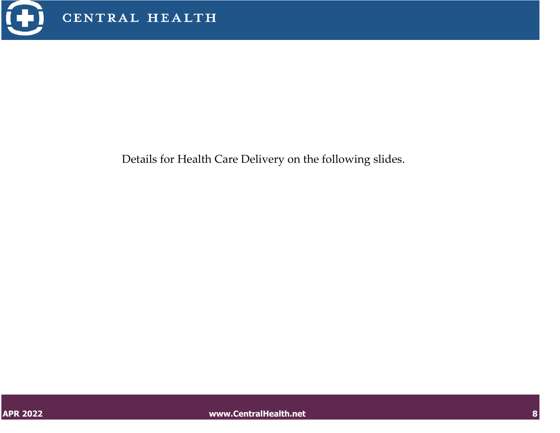

Details for Health Care Delivery on the following slides.

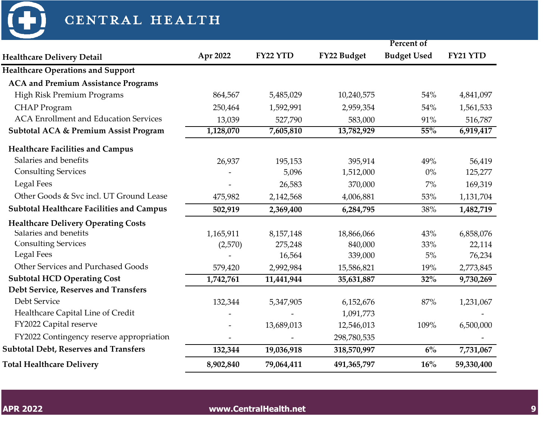

| CENTRAL HEALTH                                   |           |            |             |                    |            |
|--------------------------------------------------|-----------|------------|-------------|--------------------|------------|
|                                                  |           |            |             | Percent of         |            |
| <b>Healthcare Delivery Detail</b>                | Apr 2022  | FY22 YTD   | FY22 Budget | <b>Budget Used</b> | FY21 YTD   |
| <b>Healthcare Operations and Support</b>         |           |            |             |                    |            |
| <b>ACA and Premium Assistance Programs</b>       |           |            |             |                    |            |
| High Risk Premium Programs                       | 864,567   | 5,485,029  | 10,240,575  | 54%                | 4,841,097  |
| <b>CHAP</b> Program                              | 250,464   | 1,592,991  | 2,959,354   | 54%                | 1,561,533  |
| <b>ACA Enrollment and Education Services</b>     | 13,039    | 527,790    | 583,000     | 91%                | 516,787    |
| <b>Subtotal ACA &amp; Premium Assist Program</b> | 1,128,070 | 7,605,810  | 13,782,929  | 55%                | 6,919,417  |
| <b>Healthcare Facilities and Campus</b>          |           |            |             |                    |            |
| Salaries and benefits                            | 26,937    | 195,153    | 395,914     | 49%                | 56,419     |
| <b>Consulting Services</b>                       |           | 5,096      | 1,512,000   | $0\%$              | 125,277    |
| <b>Legal Fees</b>                                |           | 26,583     | 370,000     | $7\%$              | 169,319    |
| Other Goods & Svc incl. UT Ground Lease          | 475,982   | 2,142,568  | 4,006,881   | 53%                | 1,131,704  |
| <b>Subtotal Healthcare Facilities and Campus</b> | 502,919   | 2,369,400  | 6,284,795   | 38%                | 1,482,719  |
| <b>Healthcare Delivery Operating Costs</b>       |           |            |             |                    |            |
| Salaries and benefits                            | 1,165,911 | 8,157,148  | 18,866,066  | 43%                | 6,858,076  |
| <b>Consulting Services</b>                       | (2,570)   | 275,248    | 840,000     | 33%                | 22,114     |
| <b>Legal Fees</b>                                |           | 16,564     | 339,000     | 5%                 | 76,234     |
| Other Services and Purchased Goods               | 579,420   | 2,992,984  | 15,586,821  | 19%                | 2,773,845  |
| <b>Subtotal HCD Operating Cost</b>               | 1,742,761 | 11,441,944 | 35,631,887  | 32%                | 9,730,269  |
| Debt Service, Reserves and Transfers             |           |            |             |                    |            |
| Debt Service                                     | 132,344   | 5,347,905  | 6,152,676   | 87%                | 1,231,067  |
| Healthcare Capital Line of Credit                | -         |            | 1,091,773   |                    |            |
| FY2022 Capital reserve                           |           | 13,689,013 | 12,546,013  | 109%               | 6,500,000  |
| FY2022 Contingency reserve appropriation         |           |            | 298,780,535 |                    |            |
| <b>Subtotal Debt, Reserves and Transfers</b>     | 132,344   | 19,036,918 | 318,570,997 | 6%                 | 7,731,067  |
| <b>Total Healthcare Delivery</b>                 | 8,902,840 | 79,064,411 | 491,365,797 | 16%                | 59,330,400 |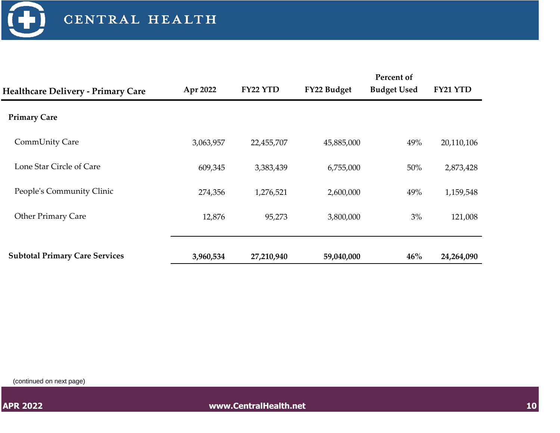

|                                           | Apr 2022  | FY22 YTD   | FY22 Budget | Percent of<br><b>Budget Used</b> | FY21 YTD   |
|-------------------------------------------|-----------|------------|-------------|----------------------------------|------------|
| <b>Healthcare Delivery - Primary Care</b> |           |            |             |                                  |            |
| <b>Primary Care</b>                       |           |            |             |                                  |            |
| CommUnity Care                            | 3,063,957 | 22,455,707 | 45,885,000  | 49%                              | 20,110,106 |
| Lone Star Circle of Care                  | 609,345   | 3,383,439  | 6,755,000   | 50%                              | 2,873,428  |
| People's Community Clinic                 | 274,356   | 1,276,521  | 2,600,000   | 49%                              | 1,159,548  |
| <b>Other Primary Care</b>                 | 12,876    | 95,273     | 3,800,000   | 3%                               | 121,008    |
|                                           |           |            |             |                                  |            |
| <b>Subtotal Primary Care Services</b>     | 3,960,534 | 27,210,940 | 59,040,000  | $46\%$                           | 24,264,090 |

(continued on next page)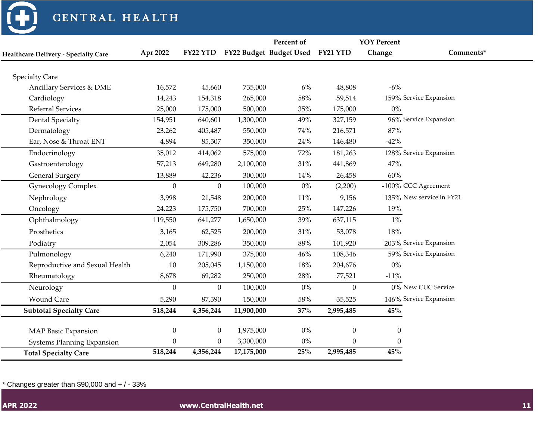

#### CENTRAL HEALTH

|                                             |                  |                  |            | Percent of              |                  | <b>YOY Percent</b> |                          |
|---------------------------------------------|------------------|------------------|------------|-------------------------|------------------|--------------------|--------------------------|
| <b>Healthcare Delivery - Specialty Care</b> | Apr 2022         | FY22 YTD         |            | FY22 Budget Budget Used | FY21 YTD         | Change             | Comments*                |
|                                             |                  |                  |            |                         |                  |                    |                          |
| <b>Specialty Care</b>                       |                  |                  |            |                         |                  |                    |                          |
| Ancillary Services & DME                    | 16,572           | 45,660           | 735,000    | $6\%$                   | 48,808           | $-6%$              |                          |
| Cardiology                                  | 14,243           | 154,318          | 265,000    | 58%                     | 59,514           |                    | 159% Service Expansion   |
| <b>Referral Services</b>                    | 25,000           | 175,000          | 500,000    | 35%                     | 175,000          | $0\%$              |                          |
| <b>Dental Specialty</b>                     | 154,951          | 640,601          | 1,300,000  | 49%                     | 327,159          |                    | 96% Service Expansion    |
| Dermatology                                 | 23,262           | 405,487          | 550,000    | 74%                     | 216,571          | 87%                |                          |
| Ear, Nose & Throat ENT                      | 4,894            | 85,507           | 350,000    | 24%                     | 146,480          | $-42%$             |                          |
| Endocrinology                               | 35,012           | 414,062          | 575,000    | 72%                     | 181,263          |                    | 128% Service Expansion   |
| Gastroenterology                            | 57,213           | 649,280          | 2,100,000  | 31%                     | 441,869          | 47%                |                          |
| <b>General Surgery</b>                      | 13,889           | 42,236           | 300,000    | 14%                     | 26,458           | 60%                |                          |
| <b>Gynecology Complex</b>                   | $\theta$         | $\Omega$         | 100,000    | $0\%$                   | (2,200)          |                    | -100% CCC Agreement      |
| Nephrology                                  | 3,998            | 21,548           | 200,000    | 11%                     | 9,156            |                    | 135% New service in FY21 |
| Oncology                                    | 24,223           | 175,750          | 700,000    | 25%                     | 147,226          | 19%                |                          |
| Ophthalmology                               | 119,550          | 641,277          | 1,650,000  | 39%                     | 637,115          | $1\%$              |                          |
| Prosthetics                                 | 3,165            | 62,525           | 200,000    | 31%                     | 53,078           | 18%                |                          |
| Podiatry                                    | 2,054            | 309,286          | 350,000    | $88\%$                  | 101,920          |                    | 203% Service Expansion   |
| Pulmonology                                 | 6,240            | 171,990          | 375,000    | 46%                     | 108,346          |                    | 59% Service Expansion    |
| Reproductive and Sexual Health              | 10               | 205,045          | 1,150,000  | 18%                     | 204,676          | $0\%$              |                          |
| Rheumatology                                | 8,678            | 69,282           | 250,000    | 28%                     | 77,521           | $-11%$             |                          |
| Neurology                                   | $\boldsymbol{0}$ | $\overline{0}$   | 100,000    | $0\%$                   | $\boldsymbol{0}$ |                    | 0% New CUC Service       |
| <b>Wound Care</b>                           | 5,290            | 87,390           | 150,000    | 58%                     | 35,525           |                    | 146% Service Expansion   |
| <b>Subtotal Specialty Care</b>              | 518,244          | 4,356,244        | 11,900,000 | 37%                     | 2,995,485        | $45\%$             |                          |
|                                             |                  |                  |            |                         |                  |                    |                          |
| MAP Basic Expansion                         | $\boldsymbol{0}$ | $\boldsymbol{0}$ | 1,975,000  | $0\%$                   | $\boldsymbol{0}$ | $\boldsymbol{0}$   |                          |
| <b>Systems Planning Expansion</b>           | $\boldsymbol{0}$ | $\boldsymbol{0}$ | 3,300,000  | $0\%$                   | $\boldsymbol{0}$ | $\Omega$           |                          |
| <b>Total Specialty Care</b>                 | 518,244          | 4,356,244        | 17,175,000 | 25%                     | 2,995,485        | 45%                |                          |

 $*$  Changes greater than \$90,000 and  $+$  / - 33%